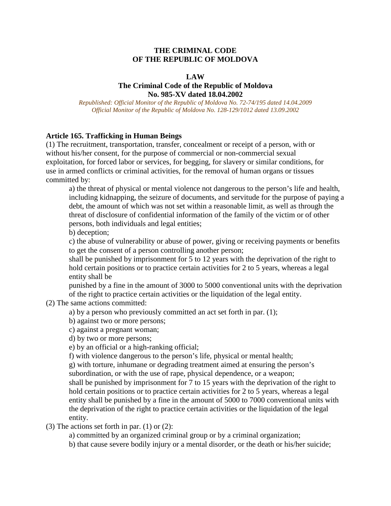### **THE CRIMINAL CODE OF THE REPUBLIC OF MOLDOVA**

#### **LAW**

### **The Criminal Code of the Republic of Moldova No. 985-XV dated 18.04.2002**

*Republished: Official Monitor of the Republic of Moldova No. 72-74/195 dated 14.04.2009 Official Monitor of the Republic of Moldova No. 128-129/1012 dated 13.09.2002*

### **Article 165. Trafficking in Human Beings**

(1) The recruitment, transportation, transfer, concealment or receipt of a person, with or without his/her consent, for the purpose of commercial or non-commercial sexual exploitation, for forced labor or services, for begging, for slavery or similar conditions, for use in armed conflicts or criminal activities, for the removal of human organs or tissues committed by:

a) the threat of physical or mental violence not dangerous to the person's life and health, including kidnapping, the seizure of documents, and servitude for the purpose of paying a debt, the amount of which was not set within a reasonable limit, as well as through the threat of disclosure of confidential information of the family of the victim or of other persons, both individuals and legal entities;

b) deception;

c) the abuse of vulnerability or abuse of power, giving or receiving payments or benefits to get the consent of a person controlling another person;

shall be punished by imprisonment for 5 to 12 years with the deprivation of the right to hold certain positions or to practice certain activities for 2 to 5 years, whereas a legal entity shall be

punished by a fine in the amount of 3000 to 5000 conventional units with the deprivation of the right to practice certain activities or the liquidation of the legal entity.

- (2) The same actions committed:
	- a) by a person who previously committed an act set forth in par. (1);
	- b) against two or more persons;
	- c) against a pregnant woman;
	- d) by two or more persons;
	- e) by an official or a high-ranking official;
	- f) with violence dangerous to the person's life, physical or mental health;

g) with torture, inhumane or degrading treatment aimed at ensuring the person's subordination, or with the use of rape, physical dependence, or a weapon; shall be punished by imprisonment for 7 to 15 years with the deprivation of the right to hold certain positions or to practice certain activities for 2 to 5 years, whereas a legal entity shall be punished by a fine in the amount of 5000 to 7000 conventional units with the deprivation of the right to practice certain activities or the liquidation of the legal entity.

### (3) The actions set forth in par.  $(1)$  or  $(2)$ :

a) committed by an organized criminal group or by a criminal organization;

b) that cause severe bodily injury or a mental disorder, or the death or his/her suicide;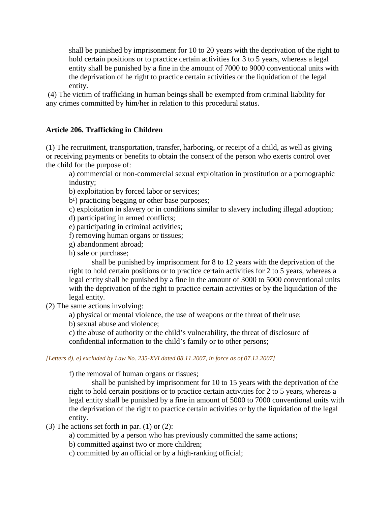shall be punished by imprisonment for 10 to 20 years with the deprivation of the right to hold certain positions or to practice certain activities for 3 to 5 years, whereas a legal entity shall be punished by a fine in the amount of 7000 to 9000 conventional units with the deprivation of he right to practice certain activities or the liquidation of the legal entity.

(4) The victim of trafficking in human beings shall be exempted from criminal liability for any crimes committed by him/her in relation to this procedural status.

### **Article 206. Trafficking in Children**

(1) The recruitment, transportation, transfer, harboring, or receipt of a child, as well as giving or receiving payments or benefits to obtain the consent of the person who exerts control over the child for the purpose of:

a) commercial or non-commercial sexual exploitation in prostitution or a pornographic industry;

b) exploitation by forced labor or services;

b<sup>1</sup>) practicing begging or other base purposes;

c) exploitation in slavery or in conditions similar to slavery including illegal adoption;

d) participating in armed conflicts;

e) participating in criminal activities;

f) removing human organs or tissues;

g) abandonment abroad;

h) sale or purchase;

shall be punished by imprisonment for 8 to 12 years with the deprivation of the right to hold certain positions or to practice certain activities for 2 to 5 years, whereas a legal entity shall be punished by a fine in the amount of 3000 to 5000 conventional units with the deprivation of the right to practice certain activities or by the liquidation of the legal entity.

(2) The same actions involving:

a) physical or mental violence, the use of weapons or the threat of their use;

b) sexual abuse and violence;

c) the abuse of authority or the child's vulnerability, the threat of disclosure of confidential information to the child's family or to other persons;

### *[Letters d), e) excluded by Law No. 235-XVI dated 08.11.2007, in force as of 07.12.2007]*

f) the removal of human organs or tissues;

shall be punished by imprisonment for 10 to 15 years with the deprivation of the right to hold certain positions or to practice certain activities for 2 to 5 years, whereas a legal entity shall be punished by a fine in amount of 5000 to 7000 conventional units with the deprivation of the right to practice certain activities or by the liquidation of the legal entity.

(3) The actions set forth in par. (1) or (2):

a) committed by a person who has previously committed the same actions;

b) committed against two or more children;

c) committed by an official or by a high-ranking official;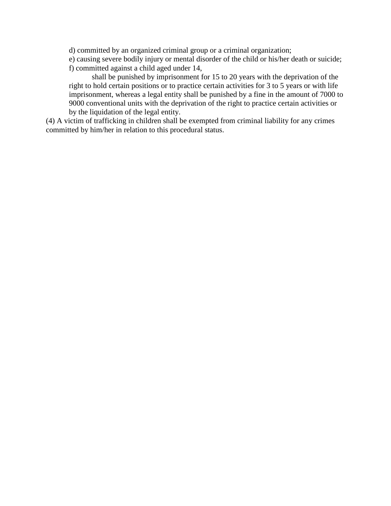d) committed by an organized criminal group or a criminal organization;

e) causing severe bodily injury or mental disorder of the child or his/her death or suicide; f) committed against a child aged under 14,

shall be punished by imprisonment for 15 to 20 years with the deprivation of the right to hold certain positions or to practice certain activities for 3 to 5 years or with life imprisonment, whereas a legal entity shall be punished by a fine in the amount of 7000 to 9000 conventional units with the deprivation of the right to practice certain activities or by the liquidation of the legal entity.

(4) A victim of trafficking in children shall be exempted from criminal liability for any crimes committed by him/her in relation to this procedural status.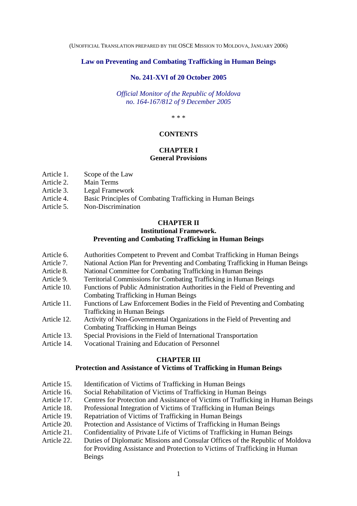(UNOFFICIAL TRANSLATION PREPARED BY THE OSCE MISSION TO MOLDOVA, JANUARY 2006)

### **Law on Preventing and Combating Trafficking in Human Beings**

#### **No. 241-XVI of 20 October 2005**

*Official Monitor of the Republic of Moldova no. 164-167/812 of 9 December 2005* 

\* \* \*

#### **CONTENTS**

### **CHAPTER I**

### **General Provisions**

- Article 1. Scope of the Law
- Article 2. Main Terms
- Article 3. Legal Framework
- Article 4. Basic Principles of Combating Trafficking in Human Beings
- Article 5. Non-Discrimination

### **CHAPTER II**

### **Institutional Framework. Preventing and Combating Trafficking in Human Beings**

- Article 6. Authorities Competent to Prevent and Combat Trafficking in Human Beings
- Article 7. National Action Plan for Preventing and Combating Trafficking in Human Beings
- Article 8. National Committee for Combating Trafficking in Human Beings
- Article 9. Territorial Commissions for Combating Trafficking in Human Beings
- Article 10. Functions of Public Administration Authorities in the Field of Preventing and Combating Trafficking in Human Beings
- Article 11. Functions of Law Enforcement Bodies in the Field of Preventing and Combating Trafficking in Human Beings
- Article 12. Activity of Non-Governmental Organizations in the Field of Preventing and Combating Trafficking in Human Beings
- Article 13. Special Provisions in the Field of International Transportation
- Article 14. Vocational Training and Education of Personnel

### **CHAPTER III**

#### **Protection and Assistance of Victims of Trafficking in Human Beings**

- Article 15. Identification of Victims of Trafficking in Human Beings
- Article 16. Social Rehabilitation of Victims of Trafficking in Human Beings
- Article 17. Centres for Protection and Assistance of Victims of Trafficking in Human Beings
- Article 18. Professional Integration of Victims of Trafficking in Human Beings
- Article 19. Repatriation of Victims of Trafficking in Human Beings
- Article 20. Protection and Assistance of Victims of Trafficking in Human Beings
- Article 21. Confidentiality of Private Life of Victims of Trafficking in Human Beings
- Article 22. Duties of Diplomatic Missions and Consular Offices of the Republic of Moldova for Providing Assistance and Protection to Victims of Trafficking in Human Beings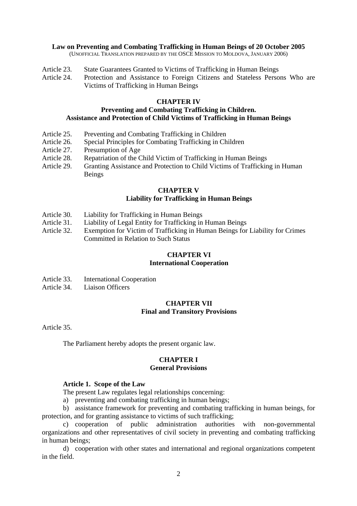- Article 23. State Guarantees Granted to Victims of Trafficking in Human Beings
- Article 24. Protection and Assistance to Foreign Citizens and Stateless Persons Who are Victims of Trafficking in Human Beings

### **CHAPTER IV**

### **Preventing and Combating Trafficking in Children. Assistance and Protection of Child Victims of Trafficking in Human Beings**

- Article 25. Preventing and Combating Trafficking in Children
- Article 26. Special Principles for Combating Trafficking in Children
- Article 27. Presumption of Age
- Article 28. Repatriation of the Child Victim of Trafficking in Human Beings
- Article 29. Granting Assistance and Protection to Child Victims of Trafficking in Human Beings

### **CHAPTER V Liability for Trafficking in Human Beings**

- Article 30. Liability for Trafficking in Human Beings
- Article 31. Liability of Legal Entity for Trafficking in Human Beings
- Article 32. Exemption for Victim of Trafficking in Human Beings for Liability for Crimes Committed in Relation to Such Status

### **CHAPTER VI**

### **International Cooperation**

- Article 33. International Cooperation
- Article 34. Liaison Officers

### **CHAPTER VII Final and Transitory Provisions**

Article 35.

The Parliament hereby adopts the present organic law.

### **CHAPTER I**

### **General Provisions**

### **Article 1. Scope of the Law**

The present Law regulates legal relationships concerning:

a) preventing and combating trafficking in human beings;

b) assistance framework for preventing and combating trafficking in human beings, for protection, and for granting assistance to victims of such trafficking;

c) cooperation of public administration authorities with non-governmental organizations and other representatives of civil society in preventing and combating trafficking in human beings;

d) cooperation with other states and international and regional organizations competent in the field.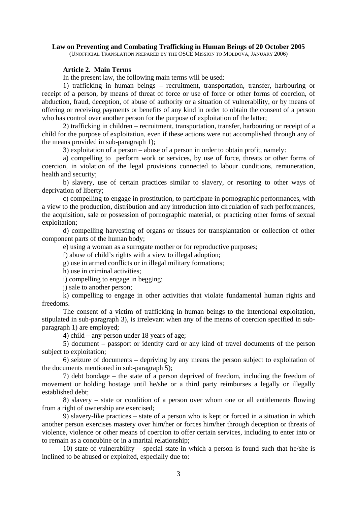#### **Article 2. Main Terms**

In the present law, the following main terms will be used:

1) trafficking in human beings – recruitment, transportation, transfer, harbouring or receipt of a person, by means of threat of force or use of force or other forms of coercion, of abduction, fraud, deception, of abuse of authority or a situation of vulnerability, or by means of offering or receiving payments or benefits of any kind in order to obtain the consent of a person who has control over another person for the purpose of exploitation of the latter;

2) trafficking in children – recruitment, transportation, transfer, harbouring or receipt of a child for the purpose of exploitation, even if these actions were not accomplished through any of the means provided in sub-paragraph 1);

3) exploitation of a person – abuse of a person in order to obtain profit, namely:

a) compelling to perform work or services, by use of force, threats or other forms of coercion, in violation of the legal provisions connected to labour conditions, remuneration, health and security;

b) slavery, use of certain practices similar to slavery, or resorting to other ways of deprivation of liberty;

c) compelling to engage in prostitution, to participate in pornographic performances, with a view to the production, distribution and any introduction into circulation of such performances, the acquisition, sale or possession of pornographic material, or practicing other forms of sexual exploitation;

d) compelling harvesting of organs or tissues for transplantation or collection of other component parts of the human body;

e) using a woman as a surrogate mother or for reproductive purposes;

f) abuse of child's rights with a view to illegal adoption;

g) use in armed conflicts or in illegal military formations;

h) use in criminal activities;

i) compelling to engage in begging;

j) sale to another person;

k) compelling to engage in other activities that violate fundamental human rights and freedoms.

The consent of a victim of trafficking in human beings to the intentional exploitation, stipulated in sub-paragraph 3), is irrelevant when any of the means of coercion specified in subparagraph 1) are employed;

4) child – any person under 18 years of age;

5) document – passport or identity card or any kind of travel documents of the person subject to exploitation;

6) seizure of documents – depriving by any means the person subject to exploitation of the documents mentioned in sub-paragraph 5);

7) debt bondage – the state of a person deprived of freedom, including the freedom of movement or holding hostage until he/she or a third party reimburses a legally or illegally established debt;

8) slavery – state or condition of a person over whom one or all entitlements flowing from a right of ownership are exercised;

9) slavery-like practices – state of a person who is kept or forced in a situation in which another person exercises mastery over him/her or forces him/her through deception or threats of violence, violence or other means of coercion to offer certain services, including to enter into or to remain as a concubine or in a marital relationship;

10) state of vulnerability – special state in which a person is found such that he/she is inclined to be abused or exploited, especially due to: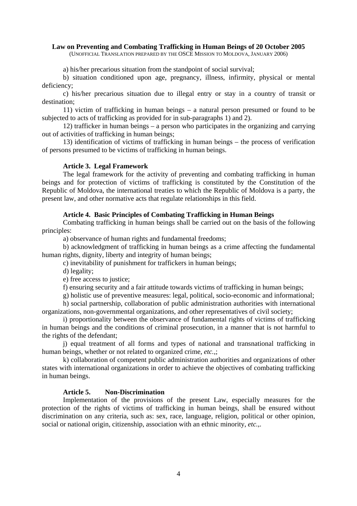a) his/her precarious situation from the standpoint of social survival;

b) situation conditioned upon age, pregnancy, illness, infirmity, physical or mental deficiency;

c) his/her precarious situation due to illegal entry or stay in a country of transit or destination;

11) victim of trafficking in human beings – a natural person presumed or found to be subjected to acts of trafficking as provided for in sub-paragraphs 1) and 2).

12) trafficker in human beings – a person who participates in the organizing and carrying out of activities of trafficking in human beings;

13) identification of victims of trafficking in human beings – the process of verification of persons presumed to be victims of trafficking in human beings.

### **Article 3. Legal Framework**

The legal framework for the activity of preventing and combating trafficking in human beings and for protection of victims of trafficking is constituted by the Constitution of the Republic of Moldova, the international treaties to which the Republic of Moldova is a party, the present law, and other normative acts that regulate relationships in this field.

### **Article 4. Basic Principles of Combating Trafficking in Human Beings**

Combating trafficking in human beings shall be carried out on the basis of the following principles:

a) observance of human rights and fundamental freedoms;

b) acknowledgment of trafficking in human beings as a crime affecting the fundamental human rights, dignity, liberty and integrity of human beings;

c) inevitability of punishment for traffickers in human beings;

d) legality;

e) free access to justice;

f) ensuring security and a fair attitude towards victims of trafficking in human beings;

g) holistic use of preventive measures: legal, political, socio-economic and informational;

h) social partnership, collaboration of public administration authorities with international organizations, non-governmental organizations, and other representatives of civil society;

i) proportionality between the observance of fundamental rights of victims of trafficking in human beings and the conditions of criminal prosecution, in a manner that is not harmful to the rights of the defendant;

j) equal treatment of all forms and types of national and transnational trafficking in human beings, whether or not related to organized crime, *etc.,*;

k) collaboration of competent public administration authorities and organizations of other states with international organizations in order to achieve the objectives of combating trafficking in human beings.

### **Article 5. Non-Discrimination**

 Implementation of the provisions of the present Law, especially measures for the protection of the rights of victims of trafficking in human beings, shall be ensured without discrimination on any criteria, such as: sex, race, language, religion, political or other opinion, social or national origin, citizenship, association with an ethnic minority, *etc.,*.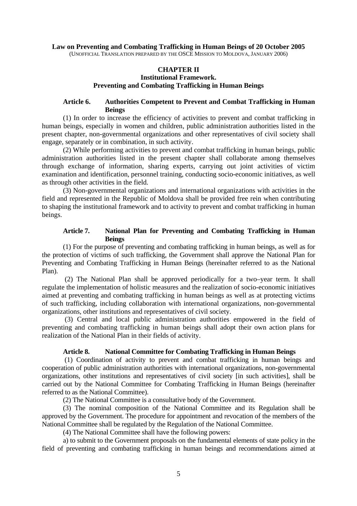### **CHAPTER II**

### **Institutional Framework. Preventing and Combating Trafficking in Human Beings**

### **Article 6. Authorities Competent to Prevent and Combat Trafficking in Human Beings**

(1) In order to increase the efficiency of activities to prevent and combat trafficking in human beings, especially in women and children, public administration authorities listed in the present chapter, non-governmental organizations and other representatives of civil society shall engage, separately or in combination, in such activity.

(2) While performing activities to prevent and combat trafficking in human beings, public administration authorities listed in the present chapter shall collaborate among themselves through exchange of information, sharing experts, carrying out joint activities of victim examination and identification, personnel training, conducting socio-economic initiatives, as well as through other activities in the field.

(3) Non-governmental organizations and international organizations with activities in the field and represented in the Republic of Moldova shall be provided free rein when contributing to shaping the institutional framework and to activity to prevent and combat trafficking in human beings.

### **Article 7. National Plan for Preventing and Combating Trafficking in Human Beings**

(1) For the purpose of preventing and combating trafficking in human beings, as well as for the protection of victims of such trafficking, the Government shall approve the National Plan for Preventing and Combating Trafficking in Human Beings (hereinafter referred to as the National Plan).

(2) The National Plan shall be approved periodically for a two–year term. It shall regulate the implementation of holistic measures and the realization of socio-economic initiatives aimed at preventing and combating trafficking in human beings as well as at protecting victims of such trafficking, including collaboration with international organizations, non-governmental organizations, other institutions and representatives of civil society.

(3) Central and local public administration authorities empowered in the field of preventing and combating trafficking in human beings shall adopt their own action plans for realization of the National Plan in their fields of activity.

### **Article 8. National Committee for Combating Trafficking in Human Beings**

 (1) Coordination of activity to prevent and combat trafficking in human beings and cooperation of public administration authorities with international organizations, non-governmental organizations, other institutions and representatives of civil society [in such activities], shall be carried out by the National Committee for Combating Trafficking in Human Beings (hereinafter referred to as the National Committee).

(2) The National Committee is a consultative body of the Government.

(3) The nominal composition of the National Committee and its Regulation shall be approved by the Government. The procedure for appointment and revocation of the members of the National Committee shall be regulated by the Regulation of the National Committee.

(4) The National Committee shall have the following powers:

a) to submit to the Government proposals on the fundamental elements of state policy in the field of preventing and combating trafficking in human beings and recommendations aimed at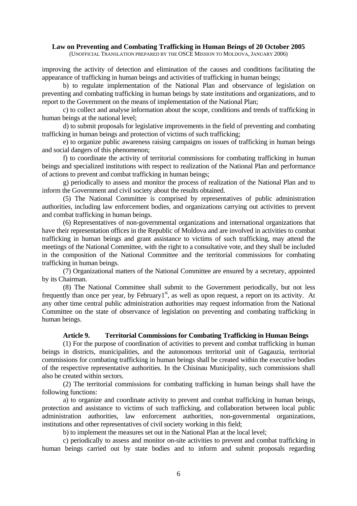improving the activity of detection and elimination of the causes and conditions facilitating the appearance of trafficking in human beings and activities of trafficking in human beings;

b) to regulate implementation of the National Plan and observance of legislation on preventing and combating trafficking in human beings by state institutions and organizations, and to report to the Government on the means of implementation of the National Plan;

c) to collect and analyse information about the scope, conditions and trends of trafficking in human beings at the national level;

d) to submit proposals for legislative improvements in the field of preventing and combating trafficking in human beings and protection of victims of such trafficking;

e) to organize public awareness raising campaigns on issues of trafficking in human beings and social dangers of this phenomenon;

f) to coordinate the activity of territorial commissions for combating trafficking in human beings and specialized institutions with respect to realization of the National Plan and performance of actions to prevent and combat trafficking in human beings;

g) periodically to assess and monitor the process of realization of the National Plan and to inform the Government and civil society about the results obtained.

(5) The National Committee is comprised by representatives of public administration authorities, including law enforcement bodies, and organizations carrying out activities to prevent and combat trafficking in human beings.

(6) Representatives of non-governmental organizations and international organizations that have their representation offices in the Republic of Moldova and are involved in activities to combat trafficking in human beings and grant assistance to victims of such trafficking, may attend the meetings of the National Committee, with the right to a consultative vote, and they shall be included in the composition of the National Committee and the territorial commissions for combating trafficking in human beings.

(7) Organizational matters of the National Committee are ensured by a secretary, appointed by its Chairman.

(8) The National Committee shall submit to the Government periodically, but not less frequently than once per year, by February<sup>1st</sup>, as well as upon request, a report on its activity. At any other time central public administration authorities may request information from the National Committee on the state of observance of legislation on preventing and combating trafficking in human beings.

### **Article 9. Territorial Commissions for Combating Trafficking in Human Beings**

(1) For the purpose of coordination of activities to prevent and combat trafficking in human beings in districts, municipalities, and the autonomous territorial unit of Gagauzia, territorial commissions for combating trafficking in human beings shall be created within the executive bodies of the respective representative authorities. In the Chisinau Municipality, such commissions shall also be created within sectors.

(2) The territorial commissions for combating trafficking in human beings shall have the following functions:

a) to organize and coordinate activity to prevent and combat trafficking in human beings, protection and assistance to victims of such trafficking, and collaboration between local public administration authorities, law enforcement authorities, non-governmental organizations, institutions and other representatives of civil society working in this field;

b) to implement the measures set out in the National Plan at the local level;

c) periodically to assess and monitor on-site activities to prevent and combat trafficking in human beings carried out by state bodies and to inform and submit proposals regarding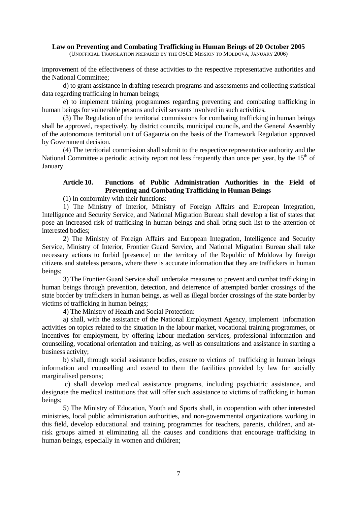improvement of the effectiveness of these activities to the respective representative authorities and the National Committee;

d) to grant assistance in drafting research programs and assessments and collecting statistical data regarding trafficking in human beings;

e) to implement training programmes regarding preventing and combating trafficking in human beings for vulnerable persons and civil servants involved in such activities.

(3) The Regulation of the territorial commissions for combating trafficking in human beings shall be approved, respectively, by district councils, municipal councils, and the General Assembly of the autonomous territorial unit of Gagauzia on the basis of the Framework Regulation approved by Government decision.

(4) The territorial commission shall submit to the respective representative authority and the National Committee a periodic activity report not less frequently than once per year, by the  $15<sup>th</sup>$  of January.

### **Article 10. Functions of Public Administration Authorities in the Field of Preventing and Combating Trafficking in Human Beings**

(1) In conformity with their functions:

1) The Ministry of Interior, Ministry of Foreign Affairs and European Integration, Intelligence and Security Service, and National Migration Bureau shall develop a list of states that pose an increased risk of trafficking in human beings and shall bring such list to the attention of interested bodies;

2) The Ministry of Foreign Affairs and European Integration, Intelligence and Security Service, Ministry of Interior, Frontier Guard Service, and National Migration Bureau shall take necessary actions to forbid [presence] on the territory of the Republic of Moldova by foreign citizens and stateless persons, where there is accurate information that they are traffickers in human beings;

3) The Frontier Guard Service shall undertake measures to prevent and combat trafficking in human beings through prevention, detection, and deterrence of attempted border crossings of the state border by traffickers in human beings, as well as illegal border crossings of the state border by victims of trafficking in human beings;

4) The Ministry of Health and Social Protection:

a) shall, with the assistance of the National Employment Agency, implement information activities on topics related to the situation in the labour market, vocational training programmes, or incentives for employment, by offering labour mediation services, professional information and counselling, vocational orientation and training, as well as consultations and assistance in starting a business activity;

b) shall, through social assistance bodies, ensure to victims of trafficking in human beings information and counselling and extend to them the facilities provided by law for socially marginalised persons;

 c) shall develop medical assistance programs, including psychiatric assistance, and designate the medical institutions that will offer such assistance to victims of trafficking in human beings;

5) The Ministry of Education, Youth and Sports shall, in cooperation with other interested ministries, local public administration authorities, and non-governmental organizations working in this field, develop educational and training programmes for teachers, parents, children, and atrisk groups aimed at eliminating all the causes and conditions that encourage trafficking in human beings, especially in women and children;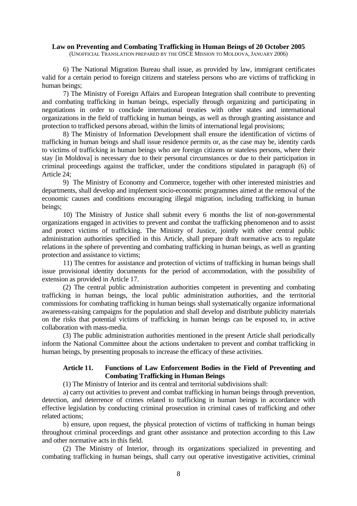6) The National Migration Bureau shall issue, as provided by law, immigrant certificates valid for a certain period to foreign citizens and stateless persons who are victims of trafficking in human beings;

7) The Ministry of Foreign Affairs and European Integration shall contribute to preventing and combating trafficking in human beings, especially through organizing and participating in negotiations in order to conclude international treaties with other states and international organizations in the field of trafficking in human beings, as well as through granting assistance and protection to trafficked persons abroad, within the limits of international legal provisions;

8) The Ministry of Information Development shall ensure the identification of victims of trafficking in human beings and shall issue residence permits or, as the case may be, identity cards to victims of trafficking in human beings who are foreign citizens or stateless persons, where their stay [in Moldova] is necessary due to their personal circumstances or due to their participation in criminal proceedings against the trafficker, under the conditions stipulated in paragraph (6) of Article 24;

9) The Ministry of Economy and Commerce, together with other interested ministries and departments, shall develop and implement socio-economic programmes aimed at the removal of the economic causes and conditions encouraging illegal migration, including trafficking in human beings;

10) The Ministry of Justice shall submit every 6 months the list of non-governmental organizations engaged in activities to prevent and combat the trafficking phenomenon and to assist and protect victims of trafficking. The Ministry of Justice, jointly with other central public administration authorities specified in this Article, shall prepare draft normative acts to regulate relations in the sphere of preventing and combating trafficking in human beings, as well as granting protection and assistance to victims;

11) The centres for assistance and protection of victims of trafficking in human beings shall issue provisional identity documents for the period of accommodation, with the possibility of extension as provided in Article 17.

(2) The central public administration authorities competent in preventing and combating trafficking in human beings, the local public administration authorities, and the territorial commissions for combating trafficking in human beings shall systematically organize informational awareness-raising campaigns for the population and shall develop and distribute publicity materials on the risks that potential victims of trafficking in human beings can be exposed to, in active collaboration with mass-media.

(3) The public administration authorities mentioned in the present Article shall periodically inform the National Committee about the actions undertaken to prevent and combat trafficking in human beings, by presenting proposals to increase the efficacy of these activities.

### **Article 11. Functions of Law Enforcement Bodies in the Field of Preventing and Combating Trafficking in Human Beings**

(1) The Ministry of Interior and its central and territorial subdivisions shall:

a) carry out activities to prevent and combat trafficking in human beings through prevention, detection, and deterrence of crimes related to trafficking in human beings in accordance with effective legislation by conducting criminal prosecution in criminal cases of trafficking and other related actions;

b) ensure, upon request, the physical protection of victims of trafficking in human beings throughout criminal proceedings and grant other assistance and protection according to this Law and other normative acts in this field.

(2) The Ministry of Interior, through its organizations specialized in preventing and combating trafficking in human beings, shall carry out operative investigative activities, criminal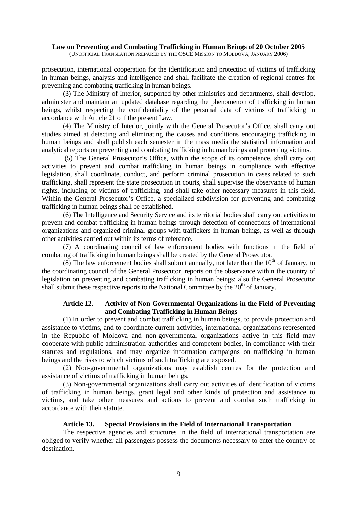prosecution, international cooperation for the identification and protection of victims of trafficking in human beings, analysis and intelligence and shall facilitate the creation of regional centres for preventing and combating trafficking in human beings.

(3) The Ministry of Interior, supported by other ministries and departments, shall develop, administer and maintain an updated database regarding the phenomenon of trafficking in human beings, whilst respecting the confidentiality of the personal data of victims of trafficking in accordance with Article 21 o f the present Law.

(4) The Ministry of Interior, jointly with the General Prosecutor's Office, shall carry out studies aimed at detecting and eliminating the causes and conditions encouraging trafficking in human beings and shall publish each semester in the mass media the statistical information and analytical reports on preventing and combating trafficking in human beings and protecting victims.

 (5) The General Prosecutor's Office, within the scope of its competence, shall carry out activities to prevent and combat trafficking in human beings in compliance with effective legislation, shall coordinate, conduct, and perform criminal prosecution in cases related to such trafficking, shall represent the state prosecution in courts, shall supervise the observance of human rights, including of victims of trafficking, and shall take other necessary measures in this field. Within the General Prosecutor's Office, a specialized subdivision for preventing and combating trafficking in human beings shall be established.

(6) The Intelligence and Security Service and its territorial bodies shall carry out activities to prevent and combat trafficking in human beings through detection of connections of international organizations and organized criminal groups with traffickers in human beings, as well as through other activities carried out within its terms of reference.

(7) A coordinating council of law enforcement bodies with functions in the field of combating of trafficking in human beings shall be created by the General Prosecutor.

(8) The law enforcement bodies shall submit annually, not later than the  $10<sup>th</sup>$  of January, to the coordinating council of the General Prosecutor, reports on the observance within the country of legislation on preventing and combating trafficking in human beings; also the General Prosecutor shall submit these respective reports to the National Committee by the  $20<sup>th</sup>$  of January.

### **Article 12. Activity of Non-Governmental Organizations in the Field of Preventing and Combating Trafficking in Human Beings**

(1) In order to prevent and combat trafficking in human beings, to provide protection and assistance to victims, and to coordinate current activities, international organizations represented in the Republic of Moldova and non-governmental organizations active in this field may cooperate with public administration authorities and competent bodies, in compliance with their statutes and regulations, and may organize information campaigns on trafficking in human beings and the risks to which victims of such trafficking are exposed.

(2) Non-governmental organizations may establish centres for the protection and assistance of victims of trafficking in human beings.

(3) Non-governmental organizations shall carry out activities of identification of victims of trafficking in human beings, grant legal and other kinds of protection and assistance to victims, and take other measures and actions to prevent and combat such trafficking in accordance with their statute.

### **Article 13. Special Provisions in the Field of International Transportation**

The respective agencies and structures in the field of international transportation are obliged to verify whether all passengers possess the documents necessary to enter the country of destination.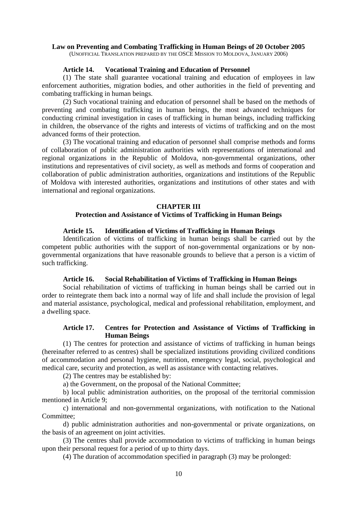### **Article 14. Vocational Training and Education of Personnel**

(1) The state shall guarantee vocational training and education of employees in law enforcement authorities, migration bodies, and other authorities in the field of preventing and combating trafficking in human beings.

(2) Such vocational training and education of personnel shall be based on the methods of preventing and combating trafficking in human beings, the most advanced techniques for conducting criminal investigation in cases of trafficking in human beings, including trafficking in children, the observance of the rights and interests of victims of trafficking and on the most advanced forms of their protection.

(3) The vocational training and education of personnel shall comprise methods and forms of collaboration of public administration authorities with representations of international and regional organizations in the Republic of Moldova, non-governmental organizations, other institutions and representatives of civil society, as well as methods and forms of cooperation and collaboration of public administration authorities, organizations and institutions of the Republic of Moldova with interested authorities, organizations and institutions of other states and with international and regional organizations.

#### **CHAPTER III**

### **Protection and Assistance of Victims of Trafficking in Human Beings**

#### **Article 15. Identification of Victims of Trafficking in Human Beings**

Identification of victims of trafficking in human beings shall be carried out by the competent public authorities with the support of non-governmental organizations or by nongovernmental organizations that have reasonable grounds to believe that a person is a victim of such trafficking.

### **Article 16. Social Rehabilitation of Victims of Trafficking in Human Beings**

Social rehabilitation of victims of trafficking in human beings shall be carried out in order to reintegrate them back into a normal way of life and shall include the provision of legal and material assistance, psychological, medical and professional rehabilitation, employment, and a dwelling space.

### **Article 17. Centres for Protection and Assistance of Victims of Trafficking in Human Beings**

(1) The centres for protection and assistance of victims of trafficking in human beings (hereinafter referred to as centres) shall be specialized institutions providing civilized conditions of accommodation and personal hygiene, nutrition, emergency legal, social, psychological and medical care, security and protection, as well as assistance with contacting relatives.

(2) The centres may be established by:

a) the Government, on the proposal of the National Committee;

b) local public administration authorities, on the proposal of the territorial commission mentioned in Article 9;

c) international and non-governmental organizations, with notification to the National Committee;

d) public administration authorities and non-governmental or private organizations, on the basis of an agreement on joint activities.

(3) The centres shall provide accommodation to victims of trafficking in human beings upon their personal request for a period of up to thirty days.

(4) The duration of accommodation specified in paragraph (3) may be prolonged: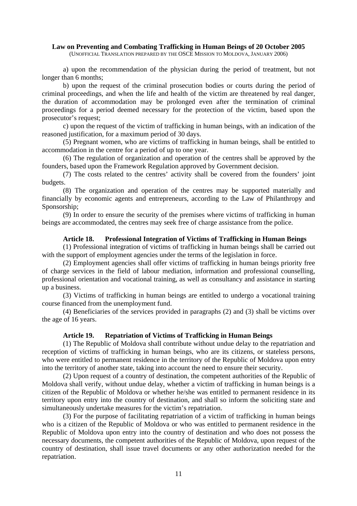a) upon the recommendation of the physician during the period of treatment, but not longer than 6 months;

b) upon the request of the criminal prosecution bodies or courts during the period of criminal proceedings, and when the life and health of the victim are threatened by real danger, the duration of accommodation may be prolonged even after the termination of criminal proceedings for a period deemed necessary for the protection of the victim, based upon the prosecutor's request;

c) upon the request of the victim of trafficking in human beings, with an indication of the reasoned justification, for a maximum period of 30 days.

(5) Pregnant women, who are victims of trafficking in human beings, shall be entitled to accommodation in the centre for a period of up to one year.

(6) The regulation of organization and operation of the centres shall be approved by the founders, based upon the Framework Regulation approved by Government decision.

(7) The costs related to the centres' activity shall be covered from the founders' joint budgets.

(8) The organization and operation of the centres may be supported materially and financially by economic agents and entrepreneurs, according to the Law of Philanthropy and Sponsorship;

(9) In order to ensure the security of the premises where victims of trafficking in human beings are accommodated, the centres may seek free of charge assistance from the police.

#### **Article 18. Professional Integration of Victims of Trafficking in Human Beings**

(1) Professional integration of victims of trafficking in human beings shall be carried out with the support of employment agencies under the terms of the legislation in force.

(2) Employment agencies shall offer victims of trafficking in human beings priority free of charge services in the field of labour mediation, information and professional counselling, professional orientation and vocational training, as well as consultancy and assistance in starting up a business.

(3) Victims of trafficking in human beings are entitled to undergo a vocational training course financed from the unemployment fund.

(4) Beneficiaries of the services provided in paragraphs (2) and (3) shall be victims over the age of 16 years.

#### **Article 19. Repatriation of Victims of Trafficking in Human Beings**

(1) The Republic of Moldova shall contribute without undue delay to the repatriation and reception of victims of trafficking in human beings, who are its citizens, or stateless persons, who were entitled to permanent residence in the territory of the Republic of Moldova upon entry into the territory of another state, taking into account the need to ensure their security.

(2) Upon request of a country of destination, the competent authorities of the Republic of Moldova shall verify, without undue delay, whether a victim of trafficking in human beings is a citizen of the Republic of Moldova or whether he/she was entitled to permanent residence in its territory upon entry into the country of destination, and shall so inform the soliciting state and simultaneously undertake measures for the victim's repatriation.

(3) For the purpose of facilitating repatriation of a victim of trafficking in human beings who is a citizen of the Republic of Moldova or who was entitled to permanent residence in the Republic of Moldova upon entry into the country of destination and who does not possess the necessary documents, the competent authorities of the Republic of Moldova, upon request of the country of destination, shall issue travel documents or any other authorization needed for the repatriation.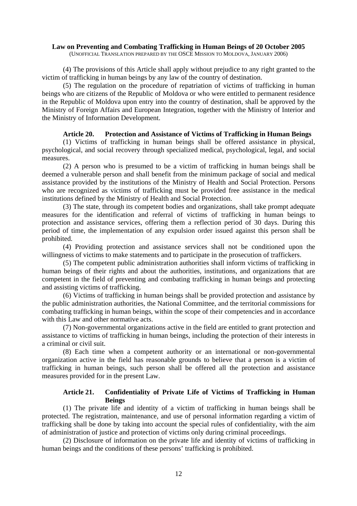(4) The provisions of this Article shall apply without prejudice to any right granted to the victim of trafficking in human beings by any law of the country of destination.

(5) The regulation on the procedure of repatriation of victims of trafficking in human beings who are citizens of the Republic of Moldova or who were entitled to permanent residence in the Republic of Moldova upon entry into the country of destination, shall be approved by the Ministry of Foreign Affairs and European Integration, together with the Ministry of Interior and the Ministry of Information Development.

#### **Article 20. Protection and Assistance of Victims of Trafficking in Human Beings**

(1) Victims of trafficking in human beings shall be offered assistance in physical, psychological, and social recovery through specialized medical, psychological, legal, and social measures.

(2) A person who is presumed to be a victim of trafficking in human beings shall be deemed a vulnerable person and shall benefit from the minimum package of social and medical assistance provided by the institutions of the Ministry of Health and Social Protection. Persons who are recognized as victims of trafficking must be provided free assistance in the medical institutions defined by the Ministry of Health and Social Protection.

(3) The state, through its competent bodies and organizations, shall take prompt adequate measures for the identification and referral of victims of trafficking in human beings to protection and assistance services, offering them a reflection period of 30 days. During this period of time, the implementation of any expulsion order issued against this person shall be prohibited.

(4) Providing protection and assistance services shall not be conditioned upon the willingness of victims to make statements and to participate in the prosecution of traffickers.

(5) The competent public administration authorities shall inform victims of trafficking in human beings of their rights and about the authorities, institutions, and organizations that are competent in the field of preventing and combating trafficking in human beings and protecting and assisting victims of trafficking.

(6) Victims of trafficking in human beings shall be provided protection and assistance by the public administration authorities, the National Committee, and the territorial commissions for combating trafficking in human beings, within the scope of their competencies and in accordance with this Law and other normative acts.

(7) Non-governmental organizations active in the field are entitled to grant protection and assistance to victims of trafficking in human beings, including the protection of their interests in a criminal or civil suit.

(8) Each time when a competent authority or an international or non-governmental organization active in the field has reasonable grounds to believe that a person is a victim of trafficking in human beings, such person shall be offered all the protection and assistance measures provided for in the present Law.

### **Article 21. Confidentiality of Private Life of Victims of Trafficking in Human Beings**

(1) The private life and identity of a victim of trafficking in human beings shall be protected. The registration, maintenance, and use of personal information regarding a victim of trafficking shall be done by taking into account the special rules of confidentiality, with the aim of administration of justice and protection of victims only during criminal proceedings.

(2) Disclosure of information on the private life and identity of victims of trafficking in human beings and the conditions of these persons' trafficking is prohibited.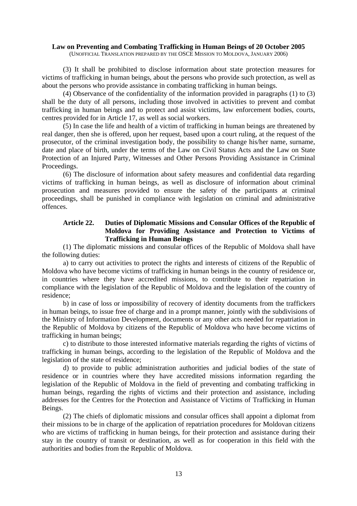(3) It shall be prohibited to disclose information about state protection measures for victims of trafficking in human beings, about the persons who provide such protection, as well as about the persons who provide assistance in combating trafficking in human beings.

(4) Observance of the confidentiality of the information provided in paragraphs (1) to (3) shall be the duty of all persons, including those involved in activities to prevent and combat trafficking in human beings and to protect and assist victims, law enforcement bodies, courts, centres provided for in Article 17, as well as social workers.

(5) In case the life and health of a victim of trafficking in human beings are threatened by real danger, then she is offered, upon her request, based upon a court ruling, at the request of the prosecutor, of the criminal investigation body, the possibility to change his/her name, surname, date and place of birth, under the terms of the Law on Civil Status Acts and the Law on State Protection of an Injured Party, Witnesses and Other Persons Providing Assistance in Criminal Proceedings.

(6) The disclosure of information about safety measures and confidential data regarding victims of trafficking in human beings, as well as disclosure of information about criminal prosecution and measures provided to ensure the safety of the participants at criminal proceedings, shall be punished in compliance with legislation on criminal and administrative offences.

### **Article 22. Duties of Diplomatic Missions and Consular Offices of the Republic of Moldova for Providing Assistance and Protection to Victims of Trafficking in Human Beings**

(1) The diplomatic missions and consular offices of the Republic of Moldova shall have the following duties:

a) to carry out activities to protect the rights and interests of citizens of the Republic of Moldova who have become victims of trafficking in human beings in the country of residence or, in countries where they have accredited missions, to contribute to their repatriation in compliance with the legislation of the Republic of Moldova and the legislation of the country of residence;

b) in case of loss or impossibility of recovery of identity documents from the traffickers in human beings, to issue free of charge and in a prompt manner, jointly with the subdivisions of the Ministry of Information Development, documents or any other acts needed for repatriation in the Republic of Moldova by citizens of the Republic of Moldova who have become victims of trafficking in human beings;

c) to distribute to those interested informative materials regarding the rights of victims of trafficking in human beings, according to the legislation of the Republic of Moldova and the legislation of the state of residence;

d) to provide to public administration authorities and judicial bodies of the state of residence or in countries where they have accredited missions information regarding the legislation of the Republic of Moldova in the field of preventing and combating trafficking in human beings, regarding the rights of victims and their protection and assistance, including addresses for the Centres for the Protection and Assistance of Victims of Trafficking in Human Beings.

(2) The chiefs of diplomatic missions and consular offices shall appoint a diplomat from their missions to be in charge of the application of repatriation procedures for Moldovan citizens who are victims of trafficking in human beings, for their protection and assistance during their stay in the country of transit or destination, as well as for cooperation in this field with the authorities and bodies from the Republic of Moldova.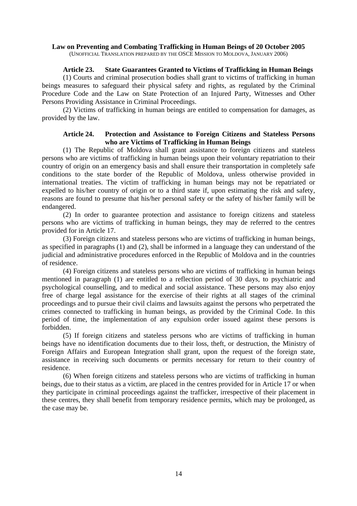### **Article 23. State Guarantees Granted to Victims of Trafficking in Human Beings**

(1) Courts and criminal prosecution bodies shall grant to victims of trafficking in human beings measures to safeguard their physical safety and rights, as regulated by the Criminal Procedure Code and the Law on State Protection of an Injured Party, Witnesses and Other Persons Providing Assistance in Criminal Proceedings.

(2) Victims of trafficking in human beings are entitled to compensation for damages, as provided by the law.

### **Article 24. Protection and Assistance to Foreign Citizens and Stateless Persons who are Victims of Trafficking in Human Beings**

(1) The Republic of Moldova shall grant assistance to foreign citizens and stateless persons who are victims of trafficking in human beings upon their voluntary repatriation to their country of origin on an emergency basis and shall ensure their transportation in completely safe conditions to the state border of the Republic of Moldova, unless otherwise provided in international treaties. The victim of trafficking in human beings may not be repatriated or expelled to his/her country of origin or to a third state if, upon estimating the risk and safety, reasons are found to presume that his/her personal safety or the safety of his/her family will be endangered.

(2) In order to guarantee protection and assistance to foreign citizens and stateless persons who are victims of trafficking in human beings, they may de referred to the centres provided for in Article 17.

(3) Foreign citizens and stateless persons who are victims of trafficking in human beings, as specified in paragraphs (1) and (2), shall be informed in a language they can understand of the judicial and administrative procedures enforced in the Republic of Moldova and in the countries of residence.

(4) Foreign citizens and stateless persons who are victims of trafficking in human beings mentioned in paragraph (1) are entitled to a reflection period of 30 days, to psychiatric and psychological counselling, and to medical and social assistance. These persons may also enjoy free of charge legal assistance for the exercise of their rights at all stages of the criminal proceedings and to pursue their civil claims and lawsuits against the persons who perpetrated the crimes connected to trafficking in human beings, as provided by the Criminal Code. In this period of time, the implementation of any expulsion order issued against these persons is forbidden.

(5) If foreign citizens and stateless persons who are victims of trafficking in human beings have no identification documents due to their loss, theft, or destruction, the Ministry of Foreign Affairs and European Integration shall grant, upon the request of the foreign state, assistance in receiving such documents or permits necessary for return to their country of residence.

(6) When foreign citizens and stateless persons who are victims of trafficking in human beings, due to their status as a victim, are placed in the centres provided for in Article 17 or when they participate in criminal proceedings against the trafficker, irrespective of their placement in these centres, they shall benefit from temporary residence permits, which may be prolonged, as the case may be.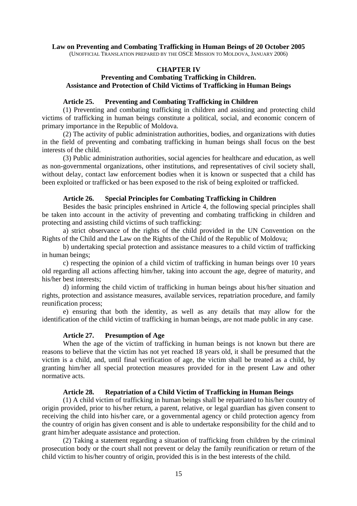### **CHAPTER IV**

### **Preventing and Combating Trafficking in Children. Assistance and Protection of Child Victims of Trafficking in Human Beings**

### **Article 25. Preventing and Combating Trafficking in Children**

(1) Preventing and combating trafficking in children and assisting and protecting child victims of trafficking in human beings constitute a political, social, and economic concern of primary importance in the Republic of Moldova.

(2) The activity of public administration authorities, bodies, and organizations with duties in the field of preventing and combating trafficking in human beings shall focus on the best interests of the child.

(3) Public administration authorities, social agencies for healthcare and education, as well as non-governmental organizations, other institutions, and representatives of civil society shall, without delay, contact law enforcement bodies when it is known or suspected that a child has been exploited or trafficked or has been exposed to the risk of being exploited or trafficked.

### **Article 26. Special Principles for Combating Trafficking in Children**

Besides the basic principles enshrined in Article 4, the following special principles shall be taken into account in the activity of preventing and combating trafficking in children and protecting and assisting child victims of such trafficking:

a) strict observance of the rights of the child provided in the UN Convention on the Rights of the Child and the Law on the Rights of the Child of the Republic of Moldova;

b) undertaking special protection and assistance measures to a child victim of trafficking in human beings;

c) respecting the opinion of a child victim of trafficking in human beings over 10 years old regarding all actions affecting him/her, taking into account the age, degree of maturity, and his/her best interests;

d) informing the child victim of trafficking in human beings about his/her situation and rights, protection and assistance measures, available services, repatriation procedure, and family reunification process;

e) ensuring that both the identity, as well as any details that may allow for the identification of the child victim of trafficking in human beings, are not made public in any case.

### **Article 27. Presumption of Age**

 When the age of the victim of trafficking in human beings is not known but there are reasons to believe that the victim has not yet reached 18 years old, it shall be presumed that the victim is a child, and, until final verification of age, the victim shall be treated as a child, by granting him/her all special protection measures provided for in the present Law and other normative acts.

### **Article 28. Repatriation of a Child Victim of Trafficking in Human Beings**

(1) A child victim of trafficking in human beings shall be repatriated to his/her country of origin provided, prior to his/her return, a parent, relative, or legal guardian has given consent to receiving the child into his/her care, or a governmental agency or child protection agency from the country of origin has given consent and is able to undertake responsibility for the child and to grant him/her adequate assistance and protection.

(2) Taking a statement regarding a situation of trafficking from children by the criminal prosecution body or the court shall not prevent or delay the family reunification or return of the child victim to his/her country of origin, provided this is in the best interests of the child.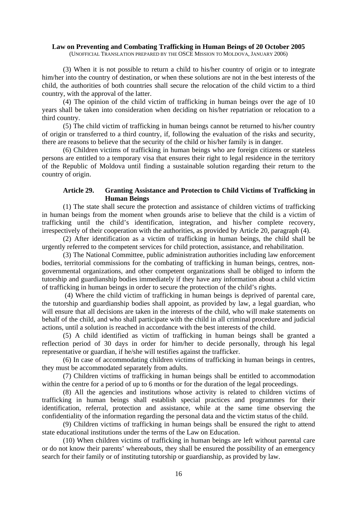(3) When it is not possible to return a child to his/her country of origin or to integrate him/her into the country of destination, or when these solutions are not in the best interests of the child, the authorities of both countries shall secure the relocation of the child victim to a third country, with the approval of the latter.

(4) The opinion of the child victim of trafficking in human beings over the age of 10 years shall be taken into consideration when deciding on his/her repatriation or relocation to a third country.

(5) The child victim of trafficking in human beings cannot be returned to his/her country of origin or transferred to a third country, if, following the evaluation of the risks and security, there are reasons to believe that the security of the child or his/her family is in danger.

(6) Children victims of trafficking in human beings who are foreign citizens or stateless persons are entitled to a temporary visa that ensures their right to legal residence in the territory of the Republic of Moldova until finding a sustainable solution regarding their return to the country of origin.

### **Article 29. Granting Assistance and Protection to Child Victims of Trafficking in Human Beings**

(1) The state shall secure the protection and assistance of children victims of trafficking in human beings from the moment when grounds arise to believe that the child is a victim of trafficking until the child's identification, integration, and his/her complete recovery, irrespectively of their cooperation with the authorities, as provided by Article 20, paragraph (4).

(2) After identification as a victim of trafficking in human beings, the child shall be urgently referred to the competent services for child protection, assistance, and rehabilitation.

(3) The National Committee, public administration authorities including law enforcement bodies, territorial commissions for the combating of trafficking in human beings, centres, nongovernmental organizations, and other competent organizations shall be obliged to inform the tutorship and guardianship bodies immediately if they have any information about a child victim of trafficking in human beings in order to secure the protection of the child's rights.

 (4) Where the child victim of trafficking in human beings is deprived of parental care, the tutorship and guardianship bodies shall appoint, as provided by law, a legal guardian, who will ensure that all decisions are taken in the interests of the child, who will make statements on behalf of the child, and who shall participate with the child in all criminal procedure and judicial actions, until a solution is reached in accordance with the best interests of the child.

(5) A child identified as victim of trafficking in human beings shall be granted a reflection period of 30 days in order for him/her to decide personally, through his legal representative or guardian, if he/she will testifies against the trafficker.

(6) In case of accommodating children victims of trafficking in human beings in centres, they must be accommodated separately from adults.

(7) Children victims of trafficking in human beings shall be entitled to accommodation within the centre for a period of up to 6 months or for the duration of the legal proceedings.

(8) All the agencies and institutions whose activity is related to children victims of trafficking in human beings shall establish special practices and programmes for their identification, referral, protection and assistance, while at the same time observing the confidentiality of the information regarding the personal data and the victim status of the child.

(9) Children victims of trafficking in human beings shall be ensured the right to attend state educational institutions under the terms of the Law on Education.

(10) When children victims of trafficking in human beings are left without parental care or do not know their parents' whereabouts, they shall be ensured the possibility of an emergency search for their family or of instituting tutorship or guardianship, as provided by law.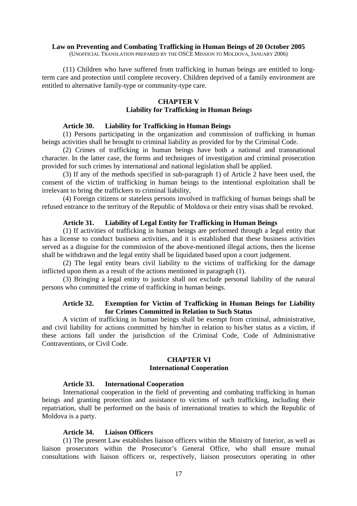(11) Children who have suffered from trafficking in human beings are entitled to longterm care and protection until complete recovery. Children deprived of a family environment are entitled to alternative family-type or community-type care.

#### **CHAPTER V**

### **Liability for Trafficking in Human Beings**

### **Article 30. Liability for Trafficking in Human Beings**

(1) Persons participating in the organization and commission of trafficking in human beings activities shall be brought to criminal liability as provided for by the Criminal Code.

(2) Crimes of trafficking in human beings have both a national and transnational character. In the latter case, the forms and techniques of investigation and criminal prosecution provided for such crimes by international and national legislation shall be applied.

(3) If any of the methods specified in sub-paragraph 1) of Article 2 have been used, the consent of the victim of trafficking in human beings to the intentional exploitation shall be irrelevant to bring the traffickers to criminal liability,

(4) Foreign citizens or stateless persons involved in trafficking of human beings shall be refused entrance to the territory of the Republic of Moldova or their entry visas shall be revoked.

### **Article 31. Liability of Legal Entity for Trafficking in Human Beings**

 (1) If activities of trafficking in human beings are performed through a legal entity that has a license to conduct business activities, and it is established that these business activities served as a disguise for the commission of the above-mentioned illegal actions, then the license shall be withdrawn and the legal entity shall be liquidated based upon a court judgement.

 (2) The legal entity bears civil liability to the victims of trafficking for the damage inflicted upon them as a result of the actions mentioned in paragraph (1).

 (3) Bringing a legal entity to justice shall not exclude personal liability of the natural persons who committed the crime of trafficking in human beings.

### **Article 32. Exemption for Victim of Trafficking in Human Beings for Liability for Crimes Committed in Relation to Such Status**

A victim of trafficking in human beings shall be exempt from criminal, administrative, and civil liability for actions committed by him/her in relation to his/her status as a victim, if these actions fall under the jurisdiction of the Criminal Code, Code of Administrative Contraventions, or Civil Code.

### **CHAPTER VI International Cooperation**

### **Article 33. International Cooperation**

International cooperation in the field of preventing and combating trafficking in human beings and granting protection and assistance to victims of such trafficking, including their repatriation, shall be performed on the basis of international treaties to which the Republic of Moldova is a party.

### **Article 34. Liaison Officers**

(1) The present Law establishes liaison officers within the Ministry of Interior, as well as liaison prosecutors within the Prosecutor's General Office, who shall ensure mutual consultations with liaison officers or, respectively, liaison prosecutors operating in other